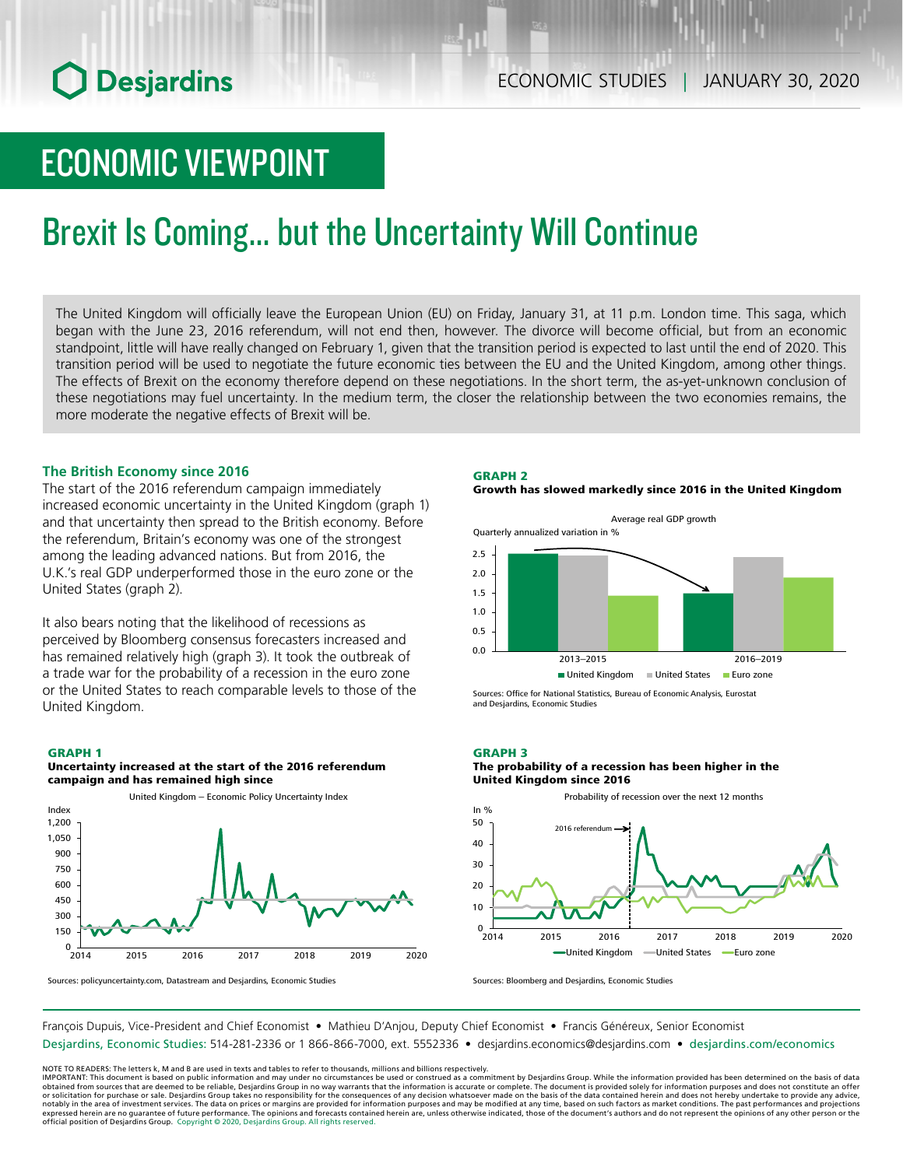# ECONOMIC VIEWPOINT

# Brexit Is Coming... but the Uncertainty Will Continue

The United Kingdom will officially leave the European Union (EU) on Friday, January 31, at 11 p.m. London time. This saga, which began with the June 23, 2016 referendum, will not end then, however. The divorce will become official, but from an economic standpoint, little will have really changed on February 1, given that the transition period is expected to last until the end of 2020. This transition period will be used to negotiate the future economic ties between the EU and the United Kingdom, among other things. The effects of Brexit on the economy therefore depend on these negotiations. In the short term, the as-yet-unknown conclusion of these negotiations may fuel uncertainty. In the medium term, the closer the relationship between the two economies remains, the more moderate the negative effects of Brexit will be.

## **The British Economy since 2016**

The start of the 2016 referendum campaign immediately increased economic uncertainty in the United Kingdom (graph 1) and that uncertainty then spread to the British economy. Before the referendum, Britain's economy was one of the strongest among the leading advanced nations. But from 2016, the U.K.'s real GDP underperformed those in the euro zone or the United States (graph 2).

It also bears noting that the likelihood of recessions as perceived by Bloomberg consensus forecasters increased and has remained relatively high (graph 3). It took the outbreak of a trade war for the probability of a recession in the euro zone or the United States to reach comparable levels to those of the United Kingdom.

#### GRAPH 1





#### GRAPH 2

Growth has slowed markedly since 2016 in the United Kingdom



Sources: Office for National Statistics, Bureau of Economic Analysis, Eurostat and Desjardins, Economic Studies

#### GRAPH 3

### The probability of a recession has been higher in the United Kingdom since 2016



Sources: Bloomberg and Desjardins, Economic Studies

François Dupuis, Vice-President and Chief Economist • Mathieu D'Anjou, Deputy Chief Economist • Francis Généreux, Senior Economist

Desjardins, Economic Studies: 514-281-2336 or 1 866-866-7000, ext. 5552336 • desjardins.economics@desjardins.com • [desjardins.com/economics](http://desjardins.com/economics)

NOTE TO READERS: The letters k, M and B are used in texts and tables to refer to thousands, millions and billions respectively.<br>IMPORTANT: This document is based on public information and may under no circumstances be used obtained from sources that are deemed to be reliable, Desjardins Group in no way warrants that the information is accurate or complete. The document is provided solely for information purposes and does not constitute an of expressed herein are no guarantee of future performance. The opinions and forecasts contained herein are, unless otherwise indicated, those of the document's authors and do not represent the opinions of any other person or official position of Desjardins Group. Copyright © 2020, Desjardins Group. All rights reserved.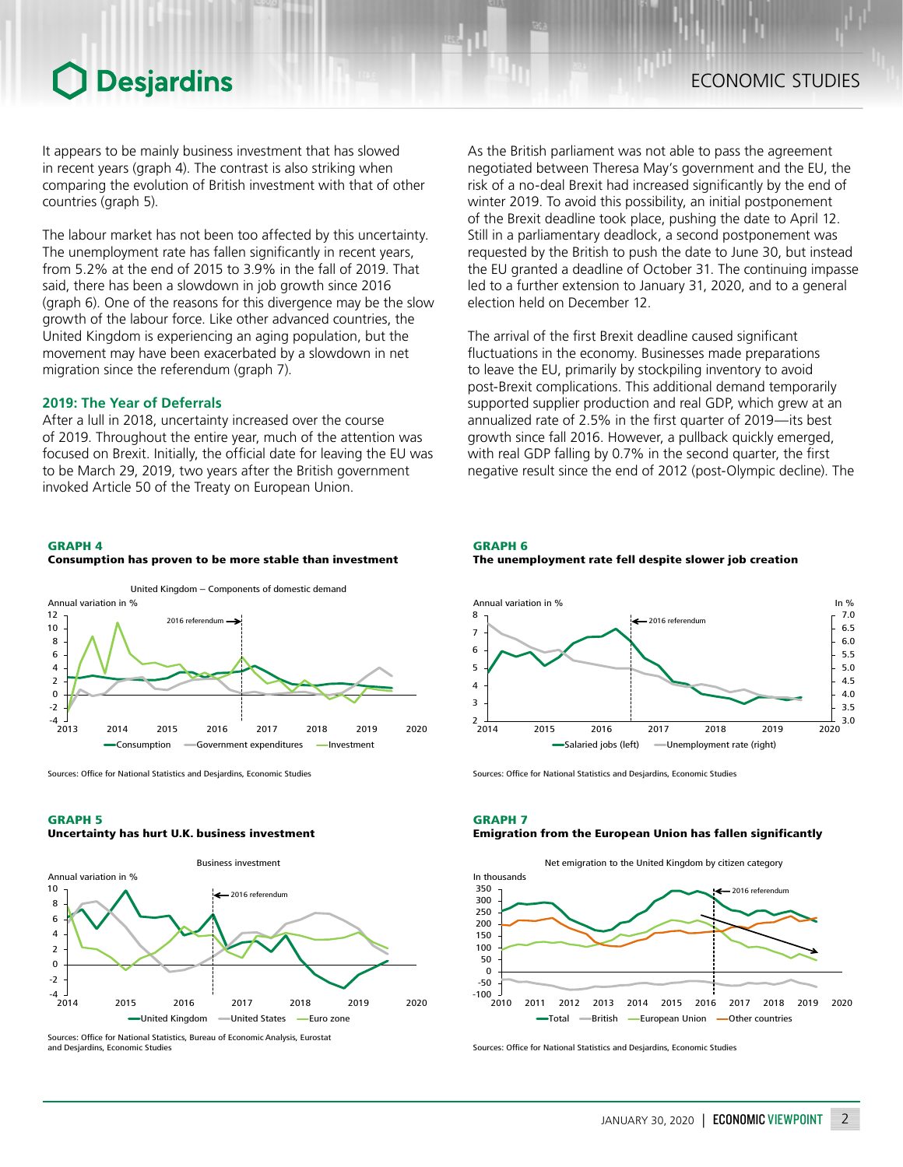## Desjardins

It appears to be mainly business investment that has slowed in recent years (graph 4). The contrast is also striking when comparing the evolution of British investment with that of other countries (graph 5).

The labour market has not been too affected by this uncertainty. The unemployment rate has fallen significantly in recent years, from 5.2% at the end of 2015 to 3.9% in the fall of 2019. That said, there has been a slowdown in job growth since 2016 (graph 6). One of the reasons for this divergence may be the slow growth of the labour force. Like other advanced countries, the United Kingdom is experiencing an aging population, but the movement may have been exacerbated by a slowdown in net migration since the referendum (graph 7).

### **2019: The Year of Deferrals**

After a lull in 2018, uncertainty increased over the course of 2019. Throughout the entire year, much of the attention was focused on Brexit. Initially, the official date for leaving the EU was to be March 29, 2019, two years after the British government invoked Article 50 of the Treaty on European Union.

#### GRAPH 4



Sources: Office for National Statistics and Desjardins, Economic Studies

#### GRAPH 5

#### Uncertainty has hurt U.K. business investment



Sources: Office for National Statistics, Bureau of Economic Analysis, Eurostat and Desjardins, Economic Studies

As the British parliament was not able to pass the agreement negotiated between Theresa May's government and the EU, the risk of a no-deal Brexit had increased significantly by the end of winter 2019. To avoid this possibility, an initial postponement of the Brexit deadline took place, pushing the date to April 12. Still in a parliamentary deadlock, a second postponement was requested by the British to push the date to June 30, but instead the EU granted a deadline of October 31. The continuing impasse led to a further extension to January 31, 2020, and to a general election held on December 12.

The arrival of the first Brexit deadline caused significant fluctuations in the economy. Businesses made preparations to leave the EU, primarily by stockpiling inventory to avoid post-Brexit complications. This additional demand temporarily supported supplier production and real GDP, which grew at an annualized rate of 2.5% in the first quarter of 2019—its best growth since fall 2016. However, a pullback quickly emerged, with real GDP falling by 0.7% in the second quarter, the first negative result since the end of 2012 (post-Olympic decline). The

#### GRAPH 6





Sources: Office for National Statistics and Desjardins, Economic Studies

### GRAPH 7

#### Emigration from the European Union has fallen significantly



Sources: Office for National Statistics and Desjardins, Economic Studies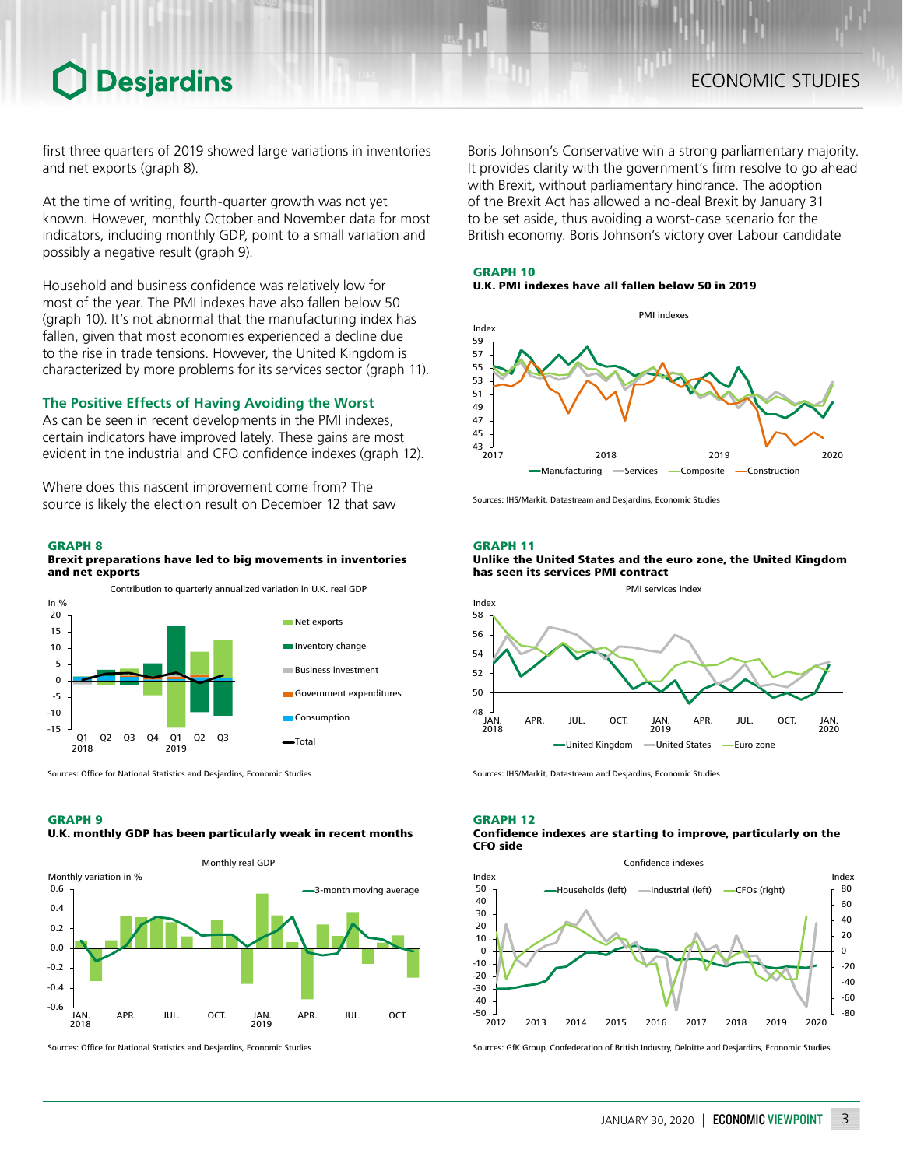## **O** Desjardins

first three quarters of 2019 showed large variations in inventories and net exports (graph 8).

At the time of writing, fourth-quarter growth was not yet known. However, monthly October and November data for most indicators, including monthly GDP, point to a small variation and possibly a negative result (graph 9).

Household and business confidence was relatively low for most of the year. The PMI indexes have also fallen below 50 (graph 10). It's not abnormal that the manufacturing index has fallen, given that most economies experienced a decline due to the rise in trade tensions. However, the United Kingdom is characterized by more problems for its services sector (graph 11).

### **The Positive Effects of Having Avoiding the Worst**

As can be seen in recent developments in the PMI indexes, certain indicators have improved lately. These gains are most evident in the industrial and CFO confidence indexes (graph 12).

Where does this nascent improvement come from? The source is likely the election result on December 12 that saw

#### GRAPH 8

#### Brexit preparations have led to big movements in inventories and net exports



Sources: Office for National Statistics and Desjardins, Economic Studies

#### GRAPH 9

#### U.K. monthly GDP has been particularly weak in recent months



Sources: Office for National Statistics and Desjardins, Economic Studies

Boris Johnson's Conservative win a strong parliamentary majority. It provides clarity with the government's firm resolve to go ahead with Brexit, without parliamentary hindrance. The adoption of the Brexit Act has allowed a no-deal Brexit by January 31 to be set aside, thus avoiding a worst-case scenario for the British economy. Boris Johnson's victory over Labour candidate

#### GRAPH 10 U.K. PMI indexes have all fallen below 50 in 2019



Sources: IHS/Markit, Datastream and Desjardins, Economic Studies

#### GRAPH 11

#### Unlike the United States and the euro zone, the United Kingdom has seen its services PMI contract



Sources: IHS/Markit, Datastream and Desjardins, Economic Studies

#### GRAPH 12

#### Confidence indexes are starting to improve, particularly on the CFO side

![](_page_2_Figure_26.jpeg)

Sources: GfK Group, Confederation of British Industry, Deloitte and Desjardins, Economic Studies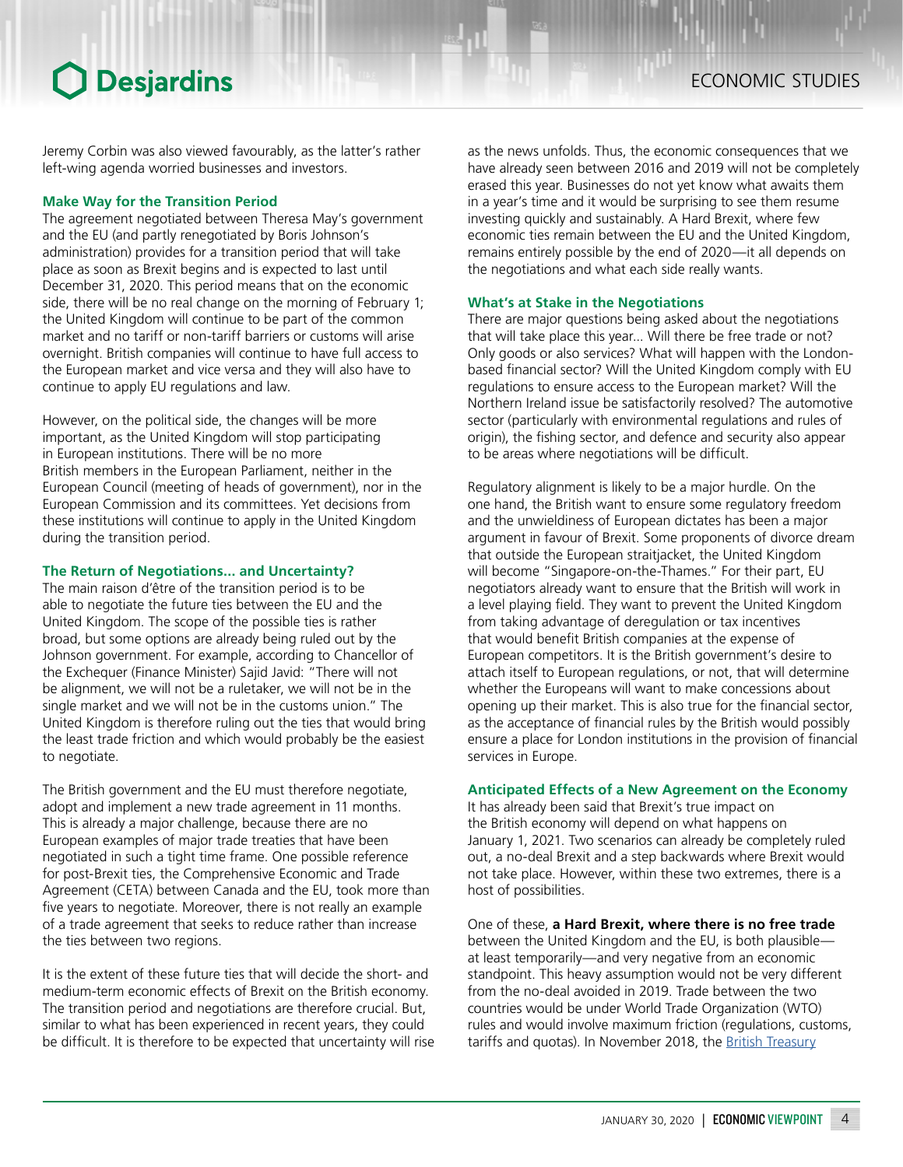## **O** Desjardins

Jeremy Corbin was also viewed favourably, as the latter's rather left-wing agenda worried businesses and investors.

## **Make Way for the Transition Period**

The agreement negotiated between Theresa May's government and the EU (and partly renegotiated by Boris Johnson's administration) provides for a transition period that will take place as soon as Brexit begins and is expected to last until December 31, 2020. This period means that on the economic side, there will be no real change on the morning of February 1; the United Kingdom will continue to be part of the common market and no tariff or non-tariff barriers or customs will arise overnight. British companies will continue to have full access to the European market and vice versa and they will also have to continue to apply EU regulations and law.

However, on the political side, the changes will be more important, as the United Kingdom will stop participating in European institutions. There will be no more British members in the European Parliament, neither in the European Council (meeting of heads of government), nor in the European Commission and its committees. Yet decisions from these institutions will continue to apply in the United Kingdom during the transition period.

## **The Return of Negotiations... and Uncertainty?**

The main raison d'être of the transition period is to be able to negotiate the future ties between the EU and the United Kingdom. The scope of the possible ties is rather broad, but some options are already being ruled out by the Johnson government. For example, according to Chancellor of the Exchequer (Finance Minister) Sajid Javid: "There will not be alignment, we will not be a ruletaker, we will not be in the single market and we will not be in the customs union." The United Kingdom is therefore ruling out the ties that would bring the least trade friction and which would probably be the easiest to negotiate.

The British government and the EU must therefore negotiate, adopt and implement a new trade agreement in 11 months. This is already a major challenge, because there are no European examples of major trade treaties that have been negotiated in such a tight time frame. One possible reference for post-Brexit ties, the Comprehensive Economic and Trade Agreement (CETA) between Canada and the EU, took more than five years to negotiate. Moreover, there is not really an example of a trade agreement that seeks to reduce rather than increase the ties between two regions.

It is the extent of these future ties that will decide the short- and medium-term economic effects of Brexit on the British economy. The transition period and negotiations are therefore crucial. But, similar to what has been experienced in recent years, they could be difficult. It is therefore to be expected that uncertainty will rise as the news unfolds. Thus, the economic consequences that we have already seen between 2016 and 2019 will not be completely erased this year. Businesses do not yet know what awaits them in a year's time and it would be surprising to see them resume investing quickly and sustainably. A Hard Brexit, where few economic ties remain between the EU and the United Kingdom, remains entirely possible by the end of 2020—it all depends on the negotiations and what each side really wants.

## **What's at Stake in the Negotiations**

There are major questions being asked about the negotiations that will take place this year... Will there be free trade or not? Only goods or also services? What will happen with the Londonbased financial sector? Will the United Kingdom comply with EU regulations to ensure access to the European market? Will the Northern Ireland issue be satisfactorily resolved? The automotive sector (particularly with environmental regulations and rules of origin), the fishing sector, and defence and security also appear to be areas where negotiations will be difficult.

Regulatory alignment is likely to be a major hurdle. On the one hand, the British want to ensure some regulatory freedom and the unwieldiness of European dictates has been a major argument in favour of Brexit. Some proponents of divorce dream that outside the European straitjacket, the United Kingdom will become "Singapore-on-the-Thames." For their part, EU negotiators already want to ensure that the British will work in a level playing field. They want to prevent the United Kingdom from taking advantage of deregulation or tax incentives that would benefit British companies at the expense of European competitors. It is the British government's desire to attach itself to European regulations, or not, that will determine whether the Europeans will want to make concessions about opening up their market. This is also true for the financial sector, as the acceptance of financial rules by the British would possibly ensure a place for London institutions in the provision of financial services in Europe.

## **Anticipated Effects of a New Agreement on the Economy**

It has already been said that Brexit's true impact on the British economy will depend on what happens on January 1, 2021. Two scenarios can already be completely ruled out, a no-deal Brexit and a step backwards where Brexit would not take place. However, within these two extremes, there is a host of possibilities.

One of these, **a Hard Brexit, where there is no free trade** between the United Kingdom and the EU, is both plausible at least temporarily—and very negative from an economic standpoint. This heavy assumption would not be very different from the no-deal avoided in 2019. Trade between the two countries would be under World Trade Organization (WTO) rules and would involve maximum friction (regulations, customs, tariffs and quotas). In November 2018, the British [Treasury](https://assets.publishing.service.gov.uk/government/uploads/system/uploads/attachment_data/file/760484/28_November_EU_Exit_-_Long-term_economic_analysis__1_.pdf)